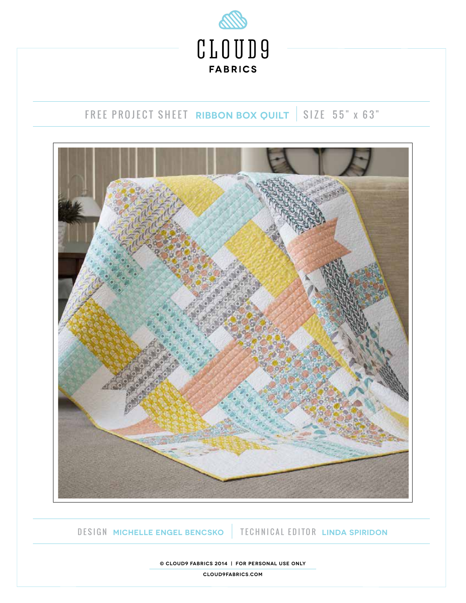

# FREE PROJECT SHEET RIBBON BOX QUILT SIZE 55" x 63"



DESIGN **MICHELLE ENGEL BENCSKO** TECHNICAL EDITOR **LINDA SPIRIDON**

**© cloud9 fabrics 2014 | For personal use only**

**cloud9fabrics.com**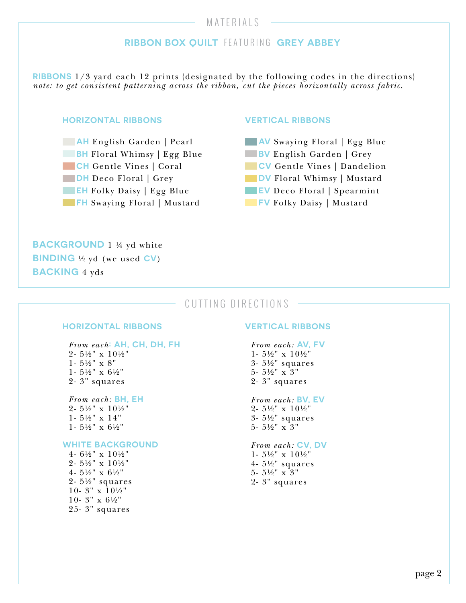# MATERIALS

# **RIBBON BOX QUILT** FEATURING **GREY ABBEY**

**RIBBONS** 1/3 yard each 12 prints {designated by the following codes in the directions} *note: to get consistent patterning across the ribbon, cut the pieces horizontally across fabric*.

#### **HORIZONTAL RIBBONS**

**AH** English Garden | Pearl **BH** Floral Whimsy | Egg Blue **CH** Gentle Vines | Coral **DH** Deco Floral | Grey **EH** Folky Daisy | Egg Blue **FH** Swaying Floral | Mustard

#### **VERTICAL RIBBONS**

**AV** Swaying Floral | Egg Blue **BV** English Garden | Grey **CV** Gentle Vines | Dandelion **DV** Floral Whimsy | Mustard **EV** Deco Floral | Spearmint

**FV** Folky Daisy | Mustard

**BACKGROUND** 1 ¼ yd white **BINDING** ½ yd (we used **CV**) **BACKING** 4 yds

# CUTTING DIRECTIONS

### **HORIZONTAL RIBBONS**

*From each***: AH, CH, DH, FH** 2- 5½" x 10½" 1- $5\%$ " x $8$ " 1- 5½" x 6½" 2- 3" squares

*From each:* **BH, EH** 2- 5½" x 10½" 1- 5½" x 14" 1- 5½" x 6½"

#### **WHITE BACKGROUND**

4- 6½" x 10½" 2- 5½" x 10½" 4- 5½" x 6½" 2- 5½" squares 10-  $3'' \times 10\frac{1}{2}$ 10- 3" x 6½" 25- 3" squares

#### **VERTICAL RIBBONS**

*From each:* **AV, FV** 1- 5½" x 10½" 3- 5½" squares 5- 5½" x 3" 2- 3" squares

*From each:* **BV, EV** 2- 5½" x 10½" 3- 5½" squares 5- 5½" x 3"

*From each:* **CV, DV** 1- 5½" x 10½" 4- 5½" squares 5- 5½" x 3" 2- 3" squares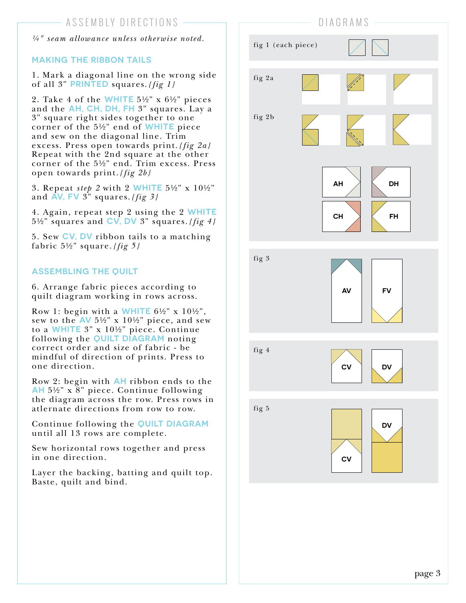*¼" seam allowance unless otherwise noted.*

## **MAKING THE RIBBON TAILS**

1. Mark a diagonal line on the wrong side of all 3" **PRINTED** squares.*{fig 1}*

2. Take 4 of the **WHITE** 5½" x 6½" pieces and the **AH, CH, DH, FH** 3" squares. Lay a 3" square right sides together to one corner of the 5½" end of **WHITE** piece and sew on the diagonal line. Trim excess. Press open towards print.*{fig 2a}*  Repeat with the 2nd square at the other corner of the 5½" end. Trim excess. Press open towards print.*{fig 2b}*

3. Repeat *step 2* with 2 **WHITE** 5½" x 10½" and **AV, FV** 3" squares.*{fig 3}*

4. Again, repeat step 2 using the 2 **WHITE** 5½" squares and **CV, DV** 3" squares.*{fig 4}*

5. Sew **CV, DV** ribbon tails to a matching fabric 5½" square.*{fig 5}*

# **ASSEMBLING THE QUILT**

6. Arrange fabric pieces according to quilt diagram working in rows across.

Row 1: begin with a **WHITE** 6½" x 10½", sew to the **AV** 5½" x 10½" piece, and sew to a **WHITE** 3" x 10½" piece. Continue following the **QUILT DIAGRAM** noting correct order and size of fabric - be mindful of direction of prints. Press to one direction.

Row 2: begin with **AH** ribbon ends to the **AH** 5½" x 8" piece. Continue following the diagram across the row. Press rows in atlernate directions from row to row.

Continue following the **QUILT DIAGRAM** until all 13 rows are complete.

Sew horizontal rows together and press in one direction.

Layer the backing, batting and quilt top. Baste, quilt and bind.